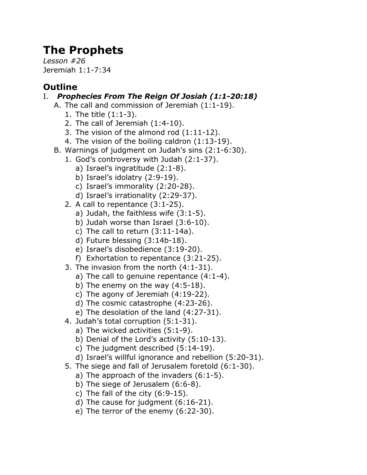# **The Prophets**

*Lesson #26* Jeremiah 1:1-7:34

## **Outline**

### I. *Prophecies From The Reign Of Josiah (1:1-20:18)*

- A. The call and commission of Jeremiah (1:1-19).
	- 1. The title (1:1-3).
	- 2. The call of Jeremiah (1:4-10).
	- 3. The vision of the almond rod (1:11-12).
	- 4. The vision of the boiling caldron (1:13-19).
- B. Warnings of judgment on Judah's sins (2:1-6:30).
	- 1. God's controversy with Judah (2:1-37).
		- a) Israel's ingratitude (2:1-8).
		- b) Israel's idolatry (2:9-19).
		- c) Israel's immorality (2:20-28).
		- d) Israel's irrationality (2:29-37).
	- 2. A call to repentance (3:1-25).
		- a) Judah, the faithless wife (3:1-5).
		- b) Judah worse than Israel (3:6-10).
		- c) The call to return (3:11-14a).
		- d) Future blessing (3:14b-18).
		- e) Israel's disobedience (3:19-20).
		- f) Exhortation to repentance (3:21-25).
	- 3. The invasion from the north (4:1-31).
		- a) The call to genuine repentance (4:1-4).
		- b) The enemy on the way (4:5-18).
		- c) The agony of Jeremiah (4:19-22).
		- d) The cosmic catastrophe (4:23-26).
		- e) The desolation of the land (4:27-31).
	- 4. Judah's total corruption (5:1-31).
		- a) The wicked activities (5:1-9).
		- b) Denial of the Lord's activity (5:10-13).
		- c) The judgment described (5:14-19).
		- d) Israel's willful ignorance and rebellion (5:20-31).
	- 5. The siege and fall of Jerusalem foretold (6:1-30).
		- a) The approach of the invaders (6:1-5).
		- b) The siege of Jerusalem (6:6-8).
		- c) The fall of the city  $(6:9-15)$ .
		- d) The cause for judgment (6:16-21).
		- e) The terror of the enemy (6:22-30).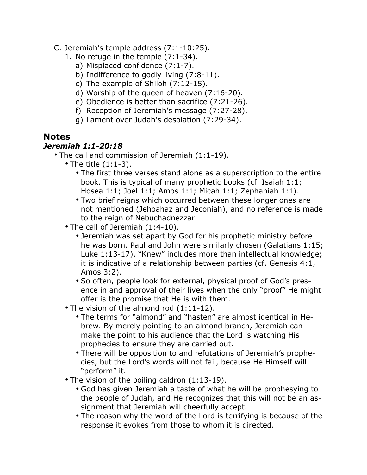- C. Jeremiah's temple address (7:1-10:25).
	- 1. No refuge in the temple (7:1-34).
		- a) Misplaced confidence (7:1-7).
		- b) Indifference to godly living (7:8-11).
		- c) The example of Shiloh (7:12-15).
		- d) Worship of the queen of heaven (7:16-20).
		- e) Obedience is better than sacrifice (7:21-26).
		- f) Reception of Jeremiah's message (7:27-28).
		- g) Lament over Judah's desolation (7:29-34).

#### **Notes**

#### *Jeremiah 1:1-20:18*

- The call and commission of Jeremiah (1:1-19).
	- The title (1:1-3).
		- The first three verses stand alone as a superscription to the entire book. This is typical of many prophetic books (cf. Isaiah 1:1; Hosea 1:1; Joel 1:1; Amos 1:1; Micah 1:1; Zephaniah 1:1).
		- Two brief reigns which occurred between these longer ones are not mentioned (Jehoahaz and Jeconiah), and no reference is made to the reign of Nebuchadnezzar.
	- The call of Jeremiah (1:4-10).
		- Jeremiah was set apart by God for his prophetic ministry before he was born. Paul and John were similarly chosen (Galatians 1:15; Luke 1:13-17). "Knew" includes more than intellectual knowledge; it is indicative of a relationship between parties (cf. Genesis 4:1; Amos 3:2).
		- So often, people look for external, physical proof of God's presence in and approval of their lives when the only "proof" He might offer is the promise that He is with them.
	- The vision of the almond rod (1:11-12).
		- The terms for "almond" and "hasten" are almost identical in Hebrew. By merely pointing to an almond branch, Jeremiah can make the point to his audience that the Lord is watching His prophecies to ensure they are carried out.
		- There will be opposition to and refutations of Jeremiah's prophecies, but the Lord's words will not fail, because He Himself will "perform" it.
	- The vision of the boiling caldron (1:13-19).
		- God has given Jeremiah a taste of what he will be prophesying to the people of Judah, and He recognizes that this will not be an assignment that Jeremiah will cheerfully accept.
		- The reason why the word of the Lord is terrifying is because of the response it evokes from those to whom it is directed.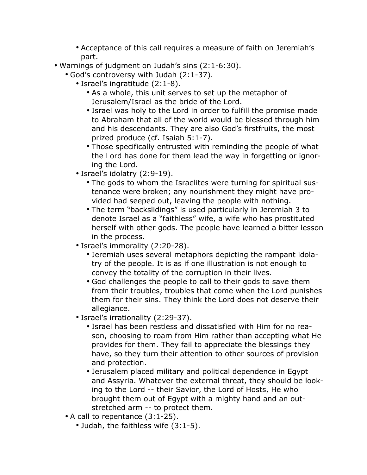- Acceptance of this call requires a measure of faith on Jeremiah's part.
- Warnings of judgment on Judah's sins (2:1-6:30).
	- God's controversy with Judah (2:1-37).
		- Israel's ingratitude (2:1-8).
			- As a whole, this unit serves to set up the metaphor of Jerusalem/Israel as the bride of the Lord.
			- Israel was holy to the Lord in order to fulfill the promise made to Abraham that all of the world would be blessed through him and his descendants. They are also God's firstfruits, the most prized produce (cf. Isaiah 5:1-7).
			- Those specifically entrusted with reminding the people of what the Lord has done for them lead the way in forgetting or ignoring the Lord.
		- Israel's idolatry (2:9-19).
			- The gods to whom the Israelites were turning for spiritual sustenance were broken; any nourishment they might have provided had seeped out, leaving the people with nothing.
			- The term "backslidings" is used particularly in Jeremiah 3 to denote Israel as a "faithless" wife, a wife who has prostituted herself with other gods. The people have learned a bitter lesson in the process.
		- Israel's immorality (2:20-28).
			- Jeremiah uses several metaphors depicting the rampant idolatry of the people. It is as if one illustration is not enough to convey the totality of the corruption in their lives.
			- God challenges the people to call to their gods to save them from their troubles, troubles that come when the Lord punishes them for their sins. They think the Lord does not deserve their allegiance.
		- Israel's irrationality (2:29-37).
			- Israel has been restless and dissatisfied with Him for no reason, choosing to roam from Him rather than accepting what He provides for them. They fail to appreciate the blessings they have, so they turn their attention to other sources of provision and protection.
			- Jerusalem placed military and political dependence in Egypt and Assyria. Whatever the external threat, they should be looking to the Lord -- their Savior, the Lord of Hosts, He who brought them out of Egypt with a mighty hand and an outstretched arm -- to protect them.
	- A call to repentance (3:1-25).
		- Judah, the faithless wife (3:1-5).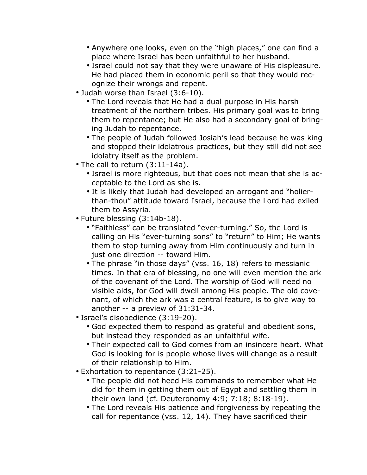- Anywhere one looks, even on the "high places," one can find a place where Israel has been unfaithful to her husband.
- Israel could not say that they were unaware of His displeasure. He had placed them in economic peril so that they would recognize their wrongs and repent.
- Judah worse than Israel (3:6-10).
	- The Lord reveals that He had a dual purpose in His harsh treatment of the northern tribes. His primary goal was to bring them to repentance; but He also had a secondary goal of bringing Judah to repentance.
	- The people of Judah followed Josiah's lead because he was king and stopped their idolatrous practices, but they still did not see idolatry itself as the problem.
- The call to return (3:11-14a).
	- Israel is more righteous, but that does not mean that she is acceptable to the Lord as she is.
	- It is likely that Judah had developed an arrogant and "holierthan-thou" attitude toward Israel, because the Lord had exiled them to Assyria.
- Future blessing (3:14b-18).
	- "Faithless" can be translated "ever-turning." So, the Lord is calling on His "ever-turning sons" to "return" to Him; He wants them to stop turning away from Him continuously and turn in just one direction -- toward Him.
	- The phrase "in those days" (vss. 16, 18) refers to messianic times. In that era of blessing, no one will even mention the ark of the covenant of the Lord. The worship of God will need no visible aids, for God will dwell among His people. The old covenant, of which the ark was a central feature, is to give way to another -- a preview of 31:31-34.
- Israel's disobedience (3:19-20).
	- God expected them to respond as grateful and obedient sons, but instead they responded as an unfaithful wife.
	- Their expected call to God comes from an insincere heart. What God is looking for is people whose lives will change as a result of their relationship to Him.
- Exhortation to repentance (3:21-25).
	- The people did not heed His commands to remember what He did for them in getting them out of Egypt and settling them in their own land (cf. Deuteronomy 4:9; 7:18; 8:18-19).
	- The Lord reveals His patience and forgiveness by repeating the call for repentance (vss. 12, 14). They have sacrificed their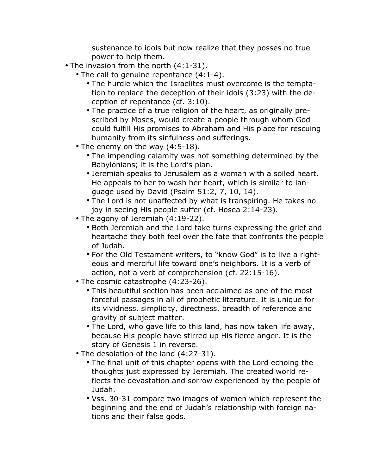sustenance to idols but now realize that they posses no true power to help them.

- The invasion from the north (4:1-31).
	- The call to genuine repentance (4:1-4).
		- The hurdle which the Israelites must overcome is the temptation to replace the deception of their idols (3:23) with the deception of repentance (cf. 3:10).
		- The practice of a true religion of the heart, as originally prescribed by Moses, would create a people through whom God could fulfill His promises to Abraham and His place for rescuing humanity from its sinfulness and sufferings.
	- The enemy on the way (4:5-18).
		- The impending calamity was not something determined by the Babylonians; it is the Lord's plan.
		- Jeremiah speaks to Jerusalem as a woman with a soiled heart. He appeals to her to wash her heart, which is similar to language used by David (Psalm 51:2, 7, 10, 14).
		- The Lord is not unaffected by what is transpiring. He takes no joy in seeing His people suffer (cf. Hosea 2:14-23).
	- The agony of Jeremiah (4:19-22).
		- Both Jeremiah and the Lord take turns expressing the grief and heartache they both feel over the fate that confronts the people of Judah.
		- For the Old Testament writers, to "know God" is to live a righteous and merciful life toward one's neighbors. It is a verb of action, not a verb of comprehension (cf. 22:15-16).
	- The cosmic catastrophe (4:23-26).
		- This beautiful section has been acclaimed as one of the most forceful passages in all of prophetic literature. It is unique for its vividness, simplicity, directness, breadth of reference and gravity of subject matter.
		- The Lord, who gave life to this land, has now taken life away, because His people have stirred up His fierce anger. It is the story of Genesis 1 in reverse.
	- The desolation of the land (4:27-31).
		- The final unit of this chapter opens with the Lord echoing the thoughts just expressed by Jeremiah. The created world reflects the devastation and sorrow experienced by the people of Judah.
		- Vss. 30-31 compare two images of women which represent the beginning and the end of Judah's relationship with foreign nations and their false gods.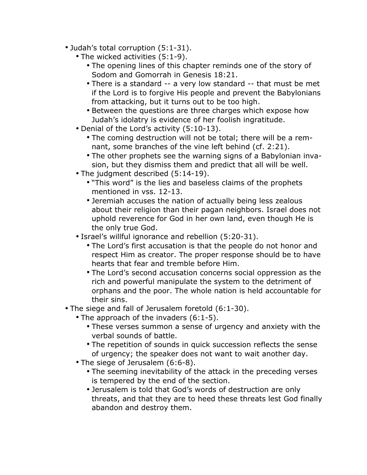- Judah's total corruption (5:1-31).
	- The wicked activities (5:1-9).
		- The opening lines of this chapter reminds one of the story of Sodom and Gomorrah in Genesis 18:21.
		- There is a standard -- a very low standard -- that must be met if the Lord is to forgive His people and prevent the Babylonians from attacking, but it turns out to be too high.
		- Between the questions are three charges which expose how Judah's idolatry is evidence of her foolish ingratitude.
	- Denial of the Lord's activity (5:10-13).
		- The coming destruction will not be total; there will be a remnant, some branches of the vine left behind (cf. 2:21).
		- The other prophets see the warning signs of a Babylonian invasion, but they dismiss them and predict that all will be well.
	- The judgment described (5:14-19).
		- "This word" is the lies and baseless claims of the prophets mentioned in vss. 12-13.
		- Jeremiah accuses the nation of actually being less zealous about their religion than their pagan neighbors. Israel does not uphold reverence for God in her own land, even though He is the only true God.
	- Israel's willful ignorance and rebellion (5:20-31).
		- The Lord's first accusation is that the people do not honor and respect Him as creator. The proper response should be to have hearts that fear and tremble before Him.
		- The Lord's second accusation concerns social oppression as the rich and powerful manipulate the system to the detriment of orphans and the poor. The whole nation is held accountable for their sins.
- The siege and fall of Jerusalem foretold (6:1-30).
	- The approach of the invaders (6:1-5).
		- These verses summon a sense of urgency and anxiety with the verbal sounds of battle.
		- The repetition of sounds in quick succession reflects the sense of urgency; the speaker does not want to wait another day.
	- The siege of Jerusalem (6:6-8).
		- The seeming inevitability of the attack in the preceding verses is tempered by the end of the section.
		- Jerusalem is told that God's words of destruction are only threats, and that they are to heed these threats lest God finally abandon and destroy them.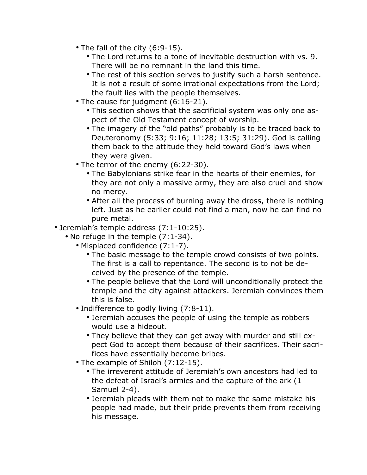- The fall of the city (6:9-15).
	- The Lord returns to a tone of inevitable destruction with vs. 9. There will be no remnant in the land this time.
	- The rest of this section serves to justify such a harsh sentence. It is not a result of some irrational expectations from the Lord; the fault lies with the people themselves.
- The cause for judgment (6:16-21).
	- This section shows that the sacrificial system was only one aspect of the Old Testament concept of worship.
	- The imagery of the "old paths" probably is to be traced back to Deuteronomy (5:33; 9:16; 11:28; 13:5; 31:29). God is calling them back to the attitude they held toward God's laws when they were given.
- The terror of the enemy (6:22-30).
	- The Babylonians strike fear in the hearts of their enemies, for they are not only a massive army, they are also cruel and show no mercy.
	- After all the process of burning away the dross, there is nothing left. Just as he earlier could not find a man, now he can find no pure metal.
- Jeremiah's temple address (7:1-10:25).
	- No refuge in the temple (7:1-34).
		- Misplaced confidence (7:1-7).
			- The basic message to the temple crowd consists of two points. The first is a call to repentance. The second is to not be deceived by the presence of the temple.
			- The people believe that the Lord will unconditionally protect the temple and the city against attackers. Jeremiah convinces them this is false.
		- Indifference to godly living (7:8-11).
			- Jeremiah accuses the people of using the temple as robbers would use a hideout.
			- They believe that they can get away with murder and still expect God to accept them because of their sacrifices. Their sacrifices have essentially become bribes.
		- The example of Shiloh (7:12-15).
			- The irreverent attitude of Jeremiah's own ancestors had led to the defeat of Israel's armies and the capture of the ark (1 Samuel 2-4).
			- Jeremiah pleads with them not to make the same mistake his people had made, but their pride prevents them from receiving his message.